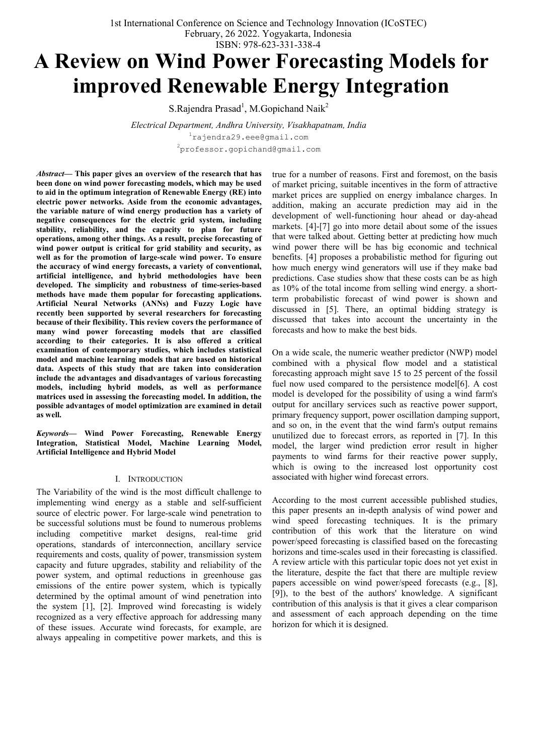1st International Conference on Science and Technology Innovation (ICoSTEC) February, 26 2022. Yogyakarta, Indonesia ISBN: 978-623-331-338-4

# **A Review on Wind Power Forecasting Models for improved Renewable Energy Integration**

S.Rajendra Prasad<sup>1</sup>, M.Gopichand Naik<sup>2</sup>

*Electrical Department, Andhra University, Visakhapatnam, India* 1 rajendra29.eee@gmail.com  $^{2}$ professor.gopichand@gmail.com

*Abstract***— This paper gives an overview of the research that has been done on wind power forecasting models, which may be used to aid in the optimum integration of Renewable Energy (RE) into electric power networks. Aside from the economic advantages, the variable nature of wind energy production has a variety of negative consequences for the electric grid system, including stability, reliability, and the capacity to plan for future operations, among other things. As a result, precise forecasting of wind power output is critical for grid stability and security, as well as for the promotion of large-scale wind power. To ensure the accuracy of wind energy forecasts, a variety of conventional, artificial intelligence, and hybrid methodologies have been developed. The simplicity and robustness of time-series-based methods have made them popular for forecasting applications. Artificial Neural Networks (ANNs) and Fuzzy Logic have recently been supported by several researchers for forecasting because of their flexibility. This review covers the performance of many wind power forecasting models that are classified according to their categories. It is also offered a critical examination of contemporary studies, which includes statistical model and machine learning models that are based on historical data. Aspects of this study that are taken into consideration include the advantages and disadvantages of various forecasting models, including hybrid models, as well as performance matrices used in assessing the forecasting model. In addition, the possible advantages of model optimization are examined in detail as well.**

*Keywords***— Wind Power Forecasting, Renewable Energy Integration, Statistical Model, Machine Learning Model, Artificial Intelligence and Hybrid Model**

#### I. INTRODUCTION

The Variability of the wind is the most difficult challenge to implementing wind energy as a stable and self-sufficient source of electric power. For large-scale wind penetration to be successful solutions must be found to numerous problems including competitive market designs, real-time grid operations, standards of interconnection, ancillary service requirements and costs, quality of power, transmission system capacity and future upgrades, stability and reliability of the power system, and optimal reductions in greenhouse gas emissions of the entire power system, which is typically determined by the optimal amount of wind penetration into the system [1], [2]. Improved wind forecasting is widely recognized as a very effective approach for addressing many of these issues. Accurate wind forecasts, for example, are always appealing in competitive power markets, and this is

true for a number of reasons. First and foremost, on the basis of market pricing, suitable incentives in the form of attractive market prices are supplied on energy imbalance charges. In addition, making an accurate prediction may aid in the development of well-functioning hour ahead or day-ahead markets. [4]-[7] go into more detail about some of the issues that were talked about. Getting better at predicting how much wind power there will be has big economic and technical benefits. [4] proposes a probabilistic method for figuring out how much energy wind generators will use if they make bad predictions. Case studies show that these costs can be as high as 10% of the total income from selling wind energy. a shortterm probabilistic forecast of wind power is shown and discussed in [5]. There, an optimal bidding strategy is discussed that takes into account the uncertainty in the forecasts and how to make the best bids.

On a wide scale, the numeric weather predictor (NWP) model combined with a physical flow model and a statistical forecasting approach might save 15 to 25 percent of the fossil fuel now used compared to the persistence model[6]. A cost model is developed for the possibility of using a wind farm's output for ancillary services such as reactive power support, primary frequency support, power oscillation damping support, and so on, in the event that the wind farm's output remains unutilized due to forecast errors, as reported in [7]. In this model, the larger wind prediction error result in higher payments to wind farms for their reactive power supply, which is owing to the increased lost opportunity cost associated with higher wind forecast errors.

According to the most current accessible published studies, this paper presents an in-depth analysis of wind power and wind speed forecasting techniques. It is the primary contribution of this work that the literature on wind power/speed forecasting is classified based on the forecasting horizons and time-scales used in their forecasting is classified. A review article with this particular topic does not yet exist in the literature, despite the fact that there are multiple review papers accessible on wind power/speed forecasts (e.g., [8], [9]), to the best of the authors' knowledge. A significant contribution of this analysis is that it gives a clear comparison and assessment of each approach depending on the time horizon for which it is designed.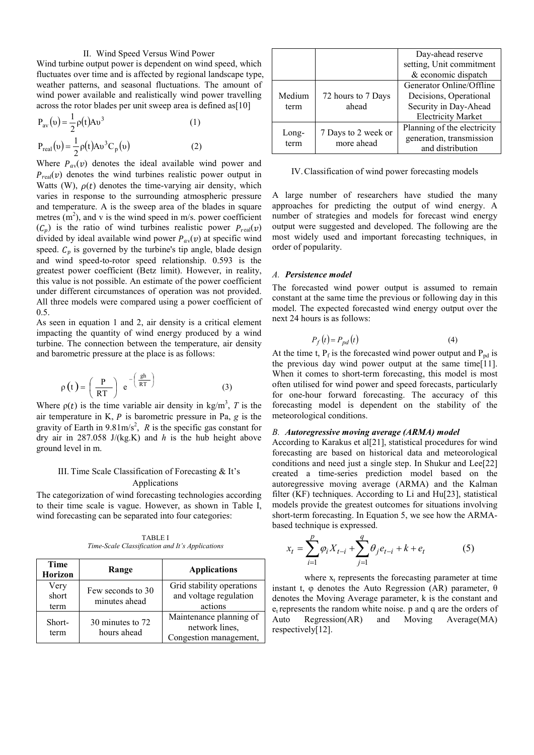## II. Wind Speed Versus Wind Power

Wind turbine output power is dependent on wind speed, which fluctuates over time and is affected by regional landscape type, weather patterns, and seasonal fluctuations. The amount of wind power available and realistically wind power travelling across the rotor blades per unit sweep area is defined as[10]

$$
P_{av}(v) = \frac{1}{2}\rho(t)Av^3
$$
\n
$$
P_{real}(v) = \frac{1}{2}\rho(t)Av^3C_p(v)
$$
\n(1)

Where  $P_{av}(v)$  denotes the ideal available wind power and  $P_{\text{real}}(v)$  denotes the wind turbines realistic power output in Watts (W),  $\rho(t)$  denotes the time-varying air density, which varies in response to the surrounding atmospheric pressure and temperature. A is the sweep area of the blades in square metres  $(m<sup>2</sup>)$ , and v is the wind speed in m/s. power coefficient  $(C_p)$  is the ratio of wind turbines realistic power  $P_{real}(v)$ divided by ideal available wind power  $P_{av}(v)$  at specific wind speed.  $C_p$  is governed by the turbine's tip angle, blade design and wind speed-to-rotor speed relationship. 0.593 is the greatest power coefficient (Betz limit). However, in reality, this value is not possible. An estimate of the power coefficient under different circumstances of operation was not provided. All three models were compared using a power coefficient of 0.5.

As seen in equation 1 and 2, air density is a critical element impacting the quantity of wind energy produced by a wind turbine. The connection between the temperature, air density and barometric pressure at the place is as follows:

$$
\rho(t) = \left(\frac{P}{RT}\right) e^{-\left(\frac{gh}{RT}\right)}
$$
 (3)

Where  $p(t)$  is the time variable air density in kg/m<sup>3</sup>, T is the air temperature in K,  $P$  is barometric pressure in Pa,  $g$  is the gravity of Earth in  $9.81 \text{m/s}^2$ , *R* is the specific gas constant for dry air in 287.058 J/(kg.K) and *h* is the hub height above ground level in m.

## III. Time Scale Classification of Forecasting & It's Applications

The categorization of wind forecasting technologies according to their time scale is vague. However, as shown in Table I, wind forecasting can be separated into four categories:

TABLE I *Time-Scale Classification and It's Applications*

| <b>Time</b><br><b>Horizon</b> | Range                              | <b>Applications</b>                                                 |  |
|-------------------------------|------------------------------------|---------------------------------------------------------------------|--|
| Very<br>short<br>term         | Few seconds to 30<br>minutes ahead | Grid stability operations<br>and voltage regulation<br>actions      |  |
| Short-<br>term                | 30 minutes to 72<br>hours ahead    | Maintenance planning of<br>network lines,<br>Congestion management, |  |

|                |                                   | Day-ahead reserve           |  |
|----------------|-----------------------------------|-----------------------------|--|
|                |                                   | setting, Unit commitment    |  |
|                |                                   | & economic dispatch         |  |
|                |                                   | Generator Online/Offline    |  |
| Medium<br>term | 72 hours to 7 Days<br>ahead       | Decisions, Operational      |  |
|                |                                   | Security in Day-Ahead       |  |
|                |                                   | <b>Electricity Market</b>   |  |
| Long-<br>term  | 7 Days to 2 week or<br>more ahead | Planning of the electricity |  |
|                |                                   | generation, transmission    |  |
|                |                                   | and distribution            |  |
|                |                                   |                             |  |

IV.Classification of wind power forecasting models

A large number of researchers have studied the many approaches for predicting the output of wind energy. A number of strategies and models for forecast wind energy output were suggested and developed. The following are the most widely used and important forecasting techniques, in order of popularity.

#### *A. Persistence model*

The forecasted wind power output is assumed to remain constant at the same time the previous or following day in this model. The expected forecasted wind energy output over the next 24 hours is as follows:

$$
P_f(t) = P_{pd}(t) \tag{4}
$$

At the time t,  $P_f$  is the forecasted wind power output and  $P_{pd}$  is the previous day wind power output at the same time[11]. When it comes to short-term forecasting, this model is most often utilised for wind power and speed forecasts, particularly for one-hour forward forecasting. The accuracy of this forecasting model is dependent on the stability of the meteorological conditions.

#### *B. Autoregressive moving average (ARMA) model*

According to Karakus et al[21], statistical procedures for wind forecasting are based on historical data and meteorological conditions and need just a single step. In Shukur and Lee[22] created a time-series prediction model based on the autoregressive moving average (ARMA) and the Kalman filter (KF) techniques. According to Li and Hu[23], statistical models provide the greatest outcomes for situations involving short-term forecasting. In Equation 5, we see how the ARMAbased technique is expressed.

$$
x_{t} = \sum_{i=1}^{p} \varphi_{i} X_{t-i} + \sum_{j=1}^{q} \theta_{j} e_{t-i} + k + e_{t}
$$
 (5)

where  $x_t$  represents the forecasting parameter at time instant t, φ denotes the Auto Regression (AR) parameter,  $θ$ denotes the Moving Average parameter, k is the constant and  $e_t$  represents the random white noise. p and q are the orders of Auto Regression(AR) and Moving Average(MA) respectively[12].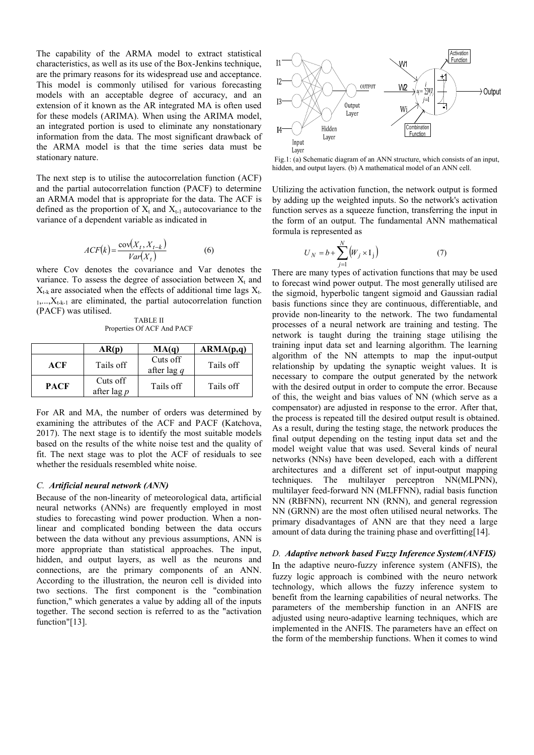The capability of the ARMA model to extract statistical characteristics, as well as its use of the Box-Jenkins technique, are the primary reasons for its widespread use and acceptance. This model is commonly utilised for various forecasting models with an acceptable degree of accuracy, and an extension of it known as the AR integrated MA is often used for these models (ARIMA). When using the ARIMA model, an integrated portion is used to eliminate any nonstationary information from the data. The most significant drawback of the ARMA model is that the time series data must be stationary nature.

The next step is to utilise the autocorrelation function (ACF) and the partial autocorrelation function (PACF) to determine an ARMA model that is appropriate for the data. The ACF is defined as the proportion of  $X_t$  and  $X_{t-1}$  autocovariance to the variance of a dependent variable as indicated in

$$
ACF(k) = \frac{\text{cov}(X_t, X_{t-k})}{Var(X_t)}
$$
(6)

where Cov denotes the covariance and Var denotes the variance. To assess the degree of association between  $X_t$  and  $X_{t-k}$  are associated when the effects of additional time lags  $X_{t-k}$  $1, \ldots, X_{t-k-1}$  are eliminated, the partial autocorrelation function (PACF) was utilised.

TABLE II Properties Of ACF And PACF

|             | AR(p)                     | MA(q)                     | ARMA(p,q) |
|-------------|---------------------------|---------------------------|-----------|
| ACF         | Tails off                 | Cuts off<br>after lag $q$ | Tails off |
| <b>PACF</b> | Cuts off<br>after lag $p$ | Tails off                 | Tails off |

For AR and MA, the number of orders was determined by examining the attributes of the ACF and PACF (Katchova, 2017). The next stage is to identify the most suitable models based on the results of the white noise test and the quality of fit. The next stage was to plot the ACF of residuals to see whether the residuals resembled white noise.

#### *C. Artificial neural network (ANN)*

Because of the non-linearity of meteorological data, artificial neural networks (ANNs) are frequently employed in most studies to forecasting wind power production. When a nonlinear and complicated bonding between the data occurs between the data without any previous assumptions, ANN is more appropriate than statistical approaches. The input, hidden, and output layers, as well as the neurons and connections, are the primary components of an ANN. According to the illustration, the neuron cell is divided into two sections. The first component is the "combination function," which generates a value by adding all of the inputs together. The second section is referred to as the "activation function"[13].



Fig.1: (a) Schematic diagram of an ANN structure, which consists of an input, hidden, and output layers. (b) A mathematical model of an ANN cell.

Utilizing the activation function, the network output is formed by adding up the weighted inputs. So the network's activation function serves as a squeeze function, transferring the input in the form of an output. The fundamental ANN mathematical formula is represented as

$$
U_N = b + \sum_{j=1}^{N} \left( W_j \times I_j \right) \tag{7}
$$

There are many types of activation functions that may be used to forecast wind power output. The most generally utilised are the sigmoid, hyperbolic tangent sigmoid and Gaussian radial basis functions since they are continuous, differentiable, and provide non-linearity to the network. The two fundamental processes of a neural network are training and testing. The network is taught during the training stage utilising the training input data set and learning algorithm. The learning algorithm of the NN attempts to map the input-output relationship by updating the synaptic weight values. It is necessary to compare the output generated by the network with the desired output in order to compute the error. Because of this, the weight and bias values of NN (which serve as a compensator) are adjusted in response to the error. After that, the process is repeated till the desired output result is obtained. As a result, during the testing stage, the network produces the final output depending on the testing input data set and the model weight value that was used. Several kinds of neural networks (NNs) have been developed, each with a different architectures and a different set of input-output mapping techniques. The multilayer perceptron NN(MLPNN), multilayer feed-forward NN (MLFFNN), radial basis function NN (RBFNN), recurrent NN (RNN), and general regression NN (GRNN) are the most often utilised neural networks. The primary disadvantages of ANN are that they need a large amount of data during the training phase and overfitting[14].

*D. Adaptive network based Fuzzy Inference System(ANFIS)* In the adaptive neuro-fuzzy inference system (ANFIS), the fuzzy logic approach is combined with the neuro network technology, which allows the fuzzy inference system to benefit from the learning capabilities of neural networks. The parameters of the membership function in an ANFIS are adjusted using neuro-adaptive learning techniques, which are implemented in the ANFIS. The parameters have an effect on the form of the membership functions. When it comes to wind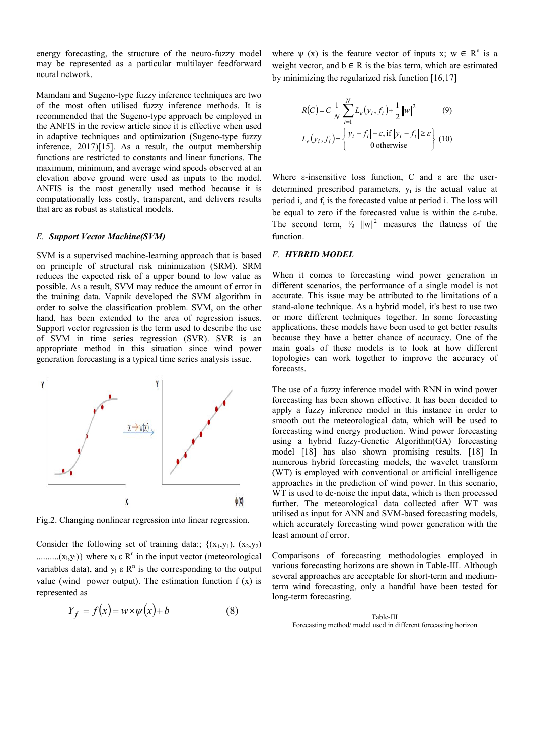energy forecasting, the structure of the neuro-fuzzy model may be represented as a particular multilayer feedforward neural network.

Mamdani and Sugeno-type fuzzy inference techniques are two of the most often utilised fuzzy inference methods. It is recommended that the Sugeno-type approach be employed in the ANFIS in the review article since it is effective when used in adaptive techniques and optimization (Sugeno-type fuzzy inference, 2017)[15]. As a result, the output membership functions are restricted to constants and linear functions. The maximum, minimum, and average wind speeds observed at an elevation above ground were used as inputs to the model. ANFIS is the most generally used method because it is computationally less costly, transparent, and delivers results that are as robust as statistical models.

#### *E. Support Vector Machine(SVM)*

SVM is a supervised machine-learning approach that is based on principle of structural risk minimization (SRM). SRM reduces the expected risk of a upper bound to low value as possible. As a result, SVM may reduce the amount of error in the training data. Vapnik developed the SVM algorithm in order to solve the classification problem. SVM, on the other hand, has been extended to the area of regression issues. Support vector regression is the term used to describe the use of SVM in time series regression (SVR). SVR is an appropriate method in this situation since wind power generation forecasting is a typical time series analysis issue.



Fig.2. Changing nonlinear regression into linear regression.

Consider the following set of training data:;  $\{(x_1,y_1), (x_2,y_2)\}$ .......... $(x_1, y_1)$ } where  $x_1 \varepsilon \mathbb{R}^n$  in the input vector (meteorological variables data), and  $y_1 \varepsilon R^n$  is the corresponding to the output value (wind power output). The estimation function  $f(x)$  is represented as

$$
Y_f = f(x) = w \times \psi(x) + b \tag{8}
$$

where  $\psi$  (x) is the feature vector of inputs x;  $w \in R^n$  is a weight vector, and  $b \in R$  is the bias term, which are estimated by minimizing the regularized risk function [16,17]

$$
R(C) = C \frac{1}{N} \sum_{i=1}^{N} L_e(y_i, f_i) + \frac{1}{2} ||w||^2
$$
(9)  

$$
L_e(y_i, f_i) = \begin{cases} |y_i - f_i| - \varepsilon, \text{if } |y_i - f_i| \ge \varepsilon \\ 0 \text{ otherwise} \end{cases}
$$
(10)

Where  $\varepsilon$ -insensitive loss function, C and  $\varepsilon$  are the userdetermined prescribed parameters,  $y_i$  is the actual value at period i, and fi is the forecasted value at period i. The loss will be equal to zero if the forecasted value is within the ε-tube. The second term,  $\frac{1}{2}$   $||w||^2$  measures the flatness of the function.

### *F. HYBRID MODEL*

When it comes to forecasting wind power generation in different scenarios, the performance of a single model is not accurate. This issue may be attributed to the limitations of a stand-alone technique. As a hybrid model, it's best to use two or more different techniques together. In some forecasting applications, these models have been used to get better results because they have a better chance of accuracy. One of the main goals of these models is to look at how different topologies can work together to improve the accuracy of forecasts.

The use of a fuzzy inference model with RNN in wind power forecasting has been shown effective. It has been decided to apply a fuzzy inference model in this instance in order to smooth out the meteorological data, which will be used to forecasting wind energy production. Wind power forecasting using a hybrid fuzzy-Genetic Algorithm(GA) forecasting model [18] has also shown promising results. [18] In numerous hybrid forecasting models, the wavelet transform (WT) is employed with conventional or artificial intelligence approaches in the prediction of wind power. In this scenario, WT is used to de-noise the input data, which is then processed further. The meteorological data collected after WT was utilised as input for ANN and SVM-based forecasting models, which accurately forecasting wind power generation with the least amount of error.

Comparisons of forecasting methodologies employed in various forecasting horizons are shown in Table-III. Although several approaches are acceptable for short-term and mediumterm wind forecasting, only a handful have been tested for long-term forecasting.

Table-III Forecasting method/ model used in different forecasting horizon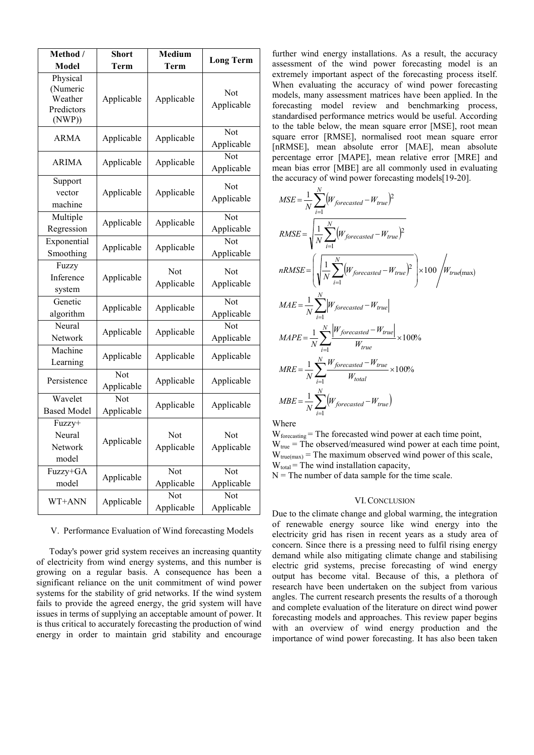| Method /<br>Model                                       | <b>Short</b><br>Term                  | <b>Medium</b><br><b>Term</b> | <b>Long Term</b>                      |
|---------------------------------------------------------|---------------------------------------|------------------------------|---------------------------------------|
| Physical<br>(Numeric<br>Weather<br>Predictors<br>(NWP)) | Applicable                            | Applicable                   | Not<br>Applicable                     |
| <b>ARMA</b>                                             | Applicable                            | Applicable                   | Not<br>Applicable                     |
| <b>ARIMA</b>                                            | Applicable                            | Applicable                   | Not<br>Applicable                     |
| Support<br>vector<br>machine                            | Applicable                            | Applicable                   | Not<br>Applicable                     |
| Multiple<br>Regression                                  | Applicable                            | Applicable                   | Not<br>Applicable                     |
| Exponential<br>Smoothing                                | Applicable                            | Applicable                   | Not<br>Applicable                     |
| Fuzzy<br>Inference<br>system                            | Applicable                            | Not<br>Applicable            | Not<br>Applicable                     |
| Genetic<br>algorithm                                    | Applicable                            | Applicable                   | Not<br>Applicable                     |
| Neural<br>Network                                       | Applicable                            | Applicable                   | $\overline{\text{Not}}$<br>Applicable |
| Machine<br>Learning                                     | Applicable                            | Applicable                   | Applicable                            |
| Persistence                                             | $\overline{\text{Not}}$<br>Applicable | Applicable                   | Applicable                            |
| Wavelet<br><b>Based Model</b>                           | Not<br>Applicable                     | Applicable                   | Applicable                            |
| Fuzzy+<br>Neural<br>Network<br>model                    | Applicable                            | Not<br>Applicable            | Not<br>Applicable                     |
| Fuzzy+GA<br>model                                       | Applicable                            | Not<br>Applicable            | Not<br>Applicable                     |
| WT+ANN                                                  | Applicable                            | Not<br>Applicable            | Not<br>Applicable                     |

#### V. Performance Evaluation of Wind forecasting Models

Today's power grid system receives an increasing quantity of electricity from wind energy systems, and this number is growing on a regular basis. A consequence has been a significant reliance on the unit commitment of wind power systems for the stability of grid networks. If the wind system fails to provide the agreed energy, the grid system will have issues in terms of supplying an acceptable amount of power. It is thus critical to accurately forecasting the production of wind energy in order to maintain grid stability and encourage

further wind energy installations. As a result, the accuracy assessment of the wind power forecasting model is an extremely important aspect of the forecasting process itself. When evaluating the accuracy of wind power forecasting models, many assessment matrices have been applied. In the forecasting model review and benchmarking process, standardised performance metrics would be useful. According to the table below, the mean square error [MSE], root mean square error [RMSE], normalised root mean square error [nRMSE], mean absolute error [MAE], mean absolute percentage error [MAPE], mean relative error [MRE] and mean bias error [MBE] are all commonly used in evaluating the accuracy of wind power forecasting models[19-20].

$$
MSE = \frac{1}{N} \sum_{i=1}^{N} (W_{forecasted} - W_{true})^2
$$
  
\n
$$
RMSE = \sqrt{\frac{1}{N} \sum_{i=1}^{N} (W_{forecasted} - W_{true})^2}
$$
  
\n
$$
nRMSE = \left(\sqrt{\frac{1}{N} \sum_{i=1}^{N} (W_{forecasted} - W_{true})^2}\right) \times 100 / W_{true(max)}
$$
  
\n
$$
MAE = \frac{1}{N} \sum_{i=1}^{N} |W_{forecasted} - W_{true}|
$$
  
\n
$$
MAPE = \frac{1}{N} \sum_{i=1}^{N} \frac{|W_{forecasted} - W_{true}|}{W_{true}} \times 100\%
$$
  
\n
$$
MRE = \frac{1}{N} \sum_{i=1}^{N} \frac{W_{forecasted} - W_{true}}{W_{total}} \times 100\%
$$
  
\n
$$
MBE = \frac{1}{N} \sum_{i=1}^{N} (W_{forecasted} - W_{true})
$$

**Where** 

W<sub>forecasting</sub> = The forecasted wind power at each time point,  $W_{true}$  = The observed/measured wind power at each time point,  $W_{true(max)}$  = The maximum observed wind power of this scale,  $W_{total}$  = The wind installation capacity,

 $N =$ The number of data sample for the time scale.

#### VI.CONCLUSION

Due to the climate change and global warming, the integration of renewable energy source like wind energy into the electricity grid has risen in recent years as a study area of concern. Since there is a pressing need to fulfil rising energy demand while also mitigating climate change and stabilising electric grid systems, precise forecasting of wind energy output has become vital. Because of this, a plethora of research have been undertaken on the subject from various angles. The current research presents the results of a thorough and complete evaluation of the literature on direct wind power forecasting models and approaches. This review paper begins with an overview of wind energy production and the importance of wind power forecasting. It has also been taken